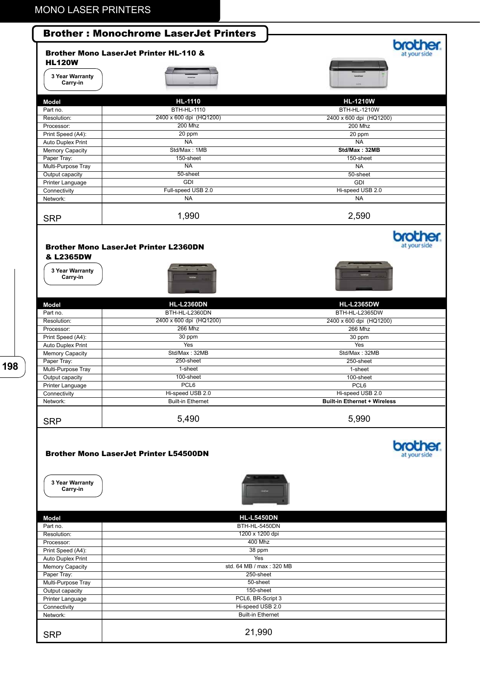|                                                                                                                                                                                                                            | <b>Brother: Monochrome LaserJet Printers</b><br><b>Brother Mono LaserJet Printer HL-110 &amp;</b> |                                     |
|----------------------------------------------------------------------------------------------------------------------------------------------------------------------------------------------------------------------------|---------------------------------------------------------------------------------------------------|-------------------------------------|
| <b>HL120W</b>                                                                                                                                                                                                              |                                                                                                   |                                     |
| 3 Year Warranty<br>Carry-in                                                                                                                                                                                                |                                                                                                   |                                     |
| <b>Model</b>                                                                                                                                                                                                               | <b>HL-1110</b>                                                                                    | <b>HL-1210W</b>                     |
| Part no.                                                                                                                                                                                                                   | <b>BTH-HL-1110</b>                                                                                | <b>BTH-HL-1210W</b>                 |
| Resolution:                                                                                                                                                                                                                | 2400 x 600 dpi (HQ1200)                                                                           | 2400 x 600 dpi (HQ1200)             |
| Processor:                                                                                                                                                                                                                 | <b>200 Mhz</b>                                                                                    | <b>200 Mhz</b>                      |
| Print Speed (A4):                                                                                                                                                                                                          | 20 ppm                                                                                            | 20 ppm                              |
| Auto Duplex Print                                                                                                                                                                                                          | <b>NA</b><br>Std/Max: 1MB                                                                         | <b>NA</b><br>Std/Max: 32MB          |
| Memory Capacity<br>Paper Tray:                                                                                                                                                                                             | 150-sheet                                                                                         | 150-sheet                           |
| Multi-Purpose Tray                                                                                                                                                                                                         | <b>NA</b>                                                                                         | <b>NA</b>                           |
| Output capacity                                                                                                                                                                                                            | 50-sheet                                                                                          | 50-sheet                            |
| Printer Language                                                                                                                                                                                                           | <b>GDI</b>                                                                                        | <b>GDI</b>                          |
| Connectivity                                                                                                                                                                                                               | Full-speed USB 2.0                                                                                | Hi-speed USB 2.0                    |
| Network:                                                                                                                                                                                                                   | <b>NA</b>                                                                                         | <b>NA</b>                           |
| <b>SRP</b>                                                                                                                                                                                                                 | 1,990                                                                                             | 2,590                               |
|                                                                                                                                                                                                                            | <b>Brother Mono LaserJet Printer L2360DN</b>                                                      |                                     |
| & L2365DW<br>3 Year Warranty<br>Carry-in                                                                                                                                                                                   |                                                                                                   |                                     |
| <b>Model</b>                                                                                                                                                                                                               | <b>HL-L2360DN</b>                                                                                 | <b>HL-L2365DW</b>                   |
| Part no.                                                                                                                                                                                                                   | BTH-HL-L2360DN                                                                                    | BTH-HL-L2365DW                      |
| Resolution:                                                                                                                                                                                                                | 2400 x 600 dpi (HQ1200)                                                                           | 2400 x 600 dpi (HQ1200)             |
| Processor:                                                                                                                                                                                                                 | <b>266 Mhz</b>                                                                                    | <b>266 Mhz</b>                      |
| Print Speed (A4):                                                                                                                                                                                                          | 30 ppm<br><b>Yes</b>                                                                              | 30 ppm                              |
| Auto Duplex Print<br>Memory Capacity                                                                                                                                                                                       | Std/Max: 32MB                                                                                     | Yes<br>Std/Max: 32MB                |
| Paper Tray:                                                                                                                                                                                                                | 250-sheet                                                                                         | 250-sheet                           |
| Multi-Purpose Tray                                                                                                                                                                                                         | 1-sheet                                                                                           | 1-sheet                             |
| Output capacity                                                                                                                                                                                                            | 100-sheet                                                                                         | 100-sheet                           |
| Printer Language                                                                                                                                                                                                           | PCL6                                                                                              | PCL6                                |
| Connectivity                                                                                                                                                                                                               | Hi-speed USB 2.0                                                                                  | Hi-speed USB 2.0                    |
| Network:                                                                                                                                                                                                                   | <b>Built-in Ethernet</b>                                                                          | <b>Built-in Ethernet + Wireless</b> |
| <b>SRP</b>                                                                                                                                                                                                                 | 5,490                                                                                             | 5,990                               |
|                                                                                                                                                                                                                            | <b>Brother Mono LaserJet Printer L54500DN</b>                                                     |                                     |
| 3 Year Warranty<br>Carry-in                                                                                                                                                                                                |                                                                                                   |                                     |
|                                                                                                                                                                                                                            |                                                                                                   |                                     |
|                                                                                                                                                                                                                            | <b>HL-L5450DN</b>                                                                                 |                                     |
|                                                                                                                                                                                                                            | BTH-HL-5450DN                                                                                     |                                     |
|                                                                                                                                                                                                                            | 1200 x 1200 dpi                                                                                   |                                     |
|                                                                                                                                                                                                                            | 400 Mhz                                                                                           |                                     |
|                                                                                                                                                                                                                            | 38 ppm<br>Yes                                                                                     |                                     |
|                                                                                                                                                                                                                            | std. 64 MB / max: 320 MB                                                                          |                                     |
|                                                                                                                                                                                                                            | 250-sheet                                                                                         |                                     |
|                                                                                                                                                                                                                            | 50-sheet                                                                                          |                                     |
|                                                                                                                                                                                                                            | 150-sheet                                                                                         |                                     |
|                                                                                                                                                                                                                            | PCL6, BR-Script 3                                                                                 |                                     |
|                                                                                                                                                                                                                            | Hi-speed USB 2.0                                                                                  |                                     |
| Model<br>Part no.<br>Resolution:<br>Processor:<br>Print Speed (A4):<br>Auto Duplex Print<br><b>Memory Capacity</b><br>Paper Tray:<br>Multi-Purpose Tray<br>Output capacity<br>Printer Language<br>Connectivity<br>Network: | <b>Built-in Ethernet</b>                                                                          |                                     |

**198**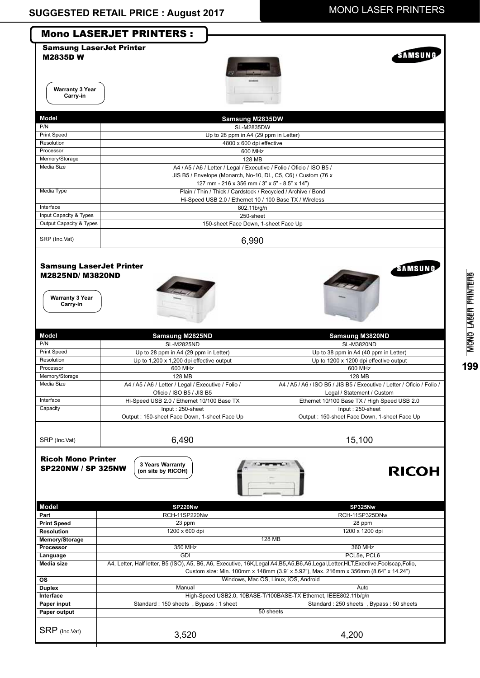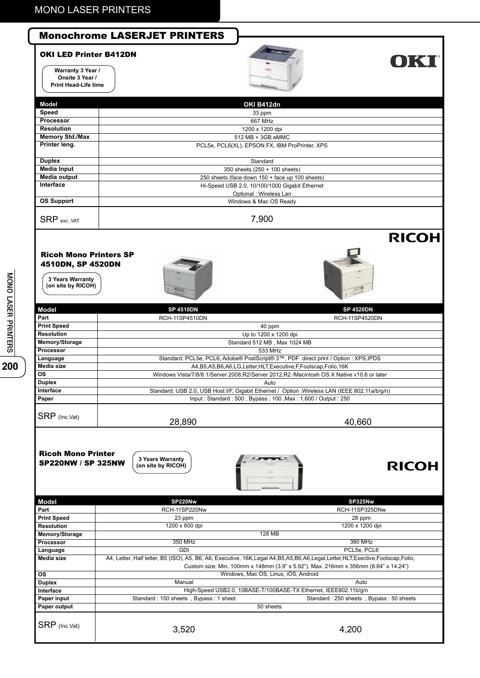### Monochrome LASERJET PRINTERS

#### OKI LED Printer B412DN

**Warranty 3 Year / Onsite 3 Year / Print Head-Life time**



## **OKI**

|                        | <b>COMMANDS</b>                                 |
|------------------------|-------------------------------------------------|
| Model                  | OKI B412dn                                      |
| Speed                  | 33 ppm                                          |
| <b>Processor</b>       | 667 MHz                                         |
| <b>Resolution</b>      | 1200 x 1200 dpi                                 |
| <b>Memory Std./Max</b> | 512 MB + 3GB eMMC                               |
| Printer leng.          | PCL5e, PCL6(XL), EPSON FX, IBM ProPrinter, XPS  |
|                        |                                                 |
| <b>Duplex</b>          | Standard                                        |
| <b>Media Input</b>     | 350 sheets (250 + 100 sheets)                   |
| Media output           | 250 sheets (face down 150 + face up 100 sheets) |
| Interface              | Hi-Speed USB 2.0, 10/100/1000 Gigabit Ethernet  |
|                        | Optional : Wireless Lan                         |
| <b>OS Support</b>      | Windows & Mac OS Ready                          |
| <b>SRP</b> excVAT      | 7,900                                           |
|                        |                                                 |
|                        | <b>RICOH</b>                                    |
|                        |                                                 |

#### Ricoh Mono Printers SP 4510DN, SP 4520DN

**3 Years Warranty (on site by RICOH)**





| <b>Model</b>       | <b>SP 4510DN</b> | <b>SP 4520DN</b>                                                                               |
|--------------------|------------------|------------------------------------------------------------------------------------------------|
| Part               | RCH-11SP4510DN   | <b>RCH-11SP4520DN</b>                                                                          |
| <b>Print Speed</b> |                  | 40 ppm                                                                                         |
| <b>Resolution</b>  |                  | Up to 1200 x 1200 dpi                                                                          |
| Memory/Storage     |                  | Standard 512 MB, Max 1024 MB                                                                   |
| Processor          |                  | 533 MHz                                                                                        |
| Language           |                  | Standard: PCL5e, PCL6, Adobe® PostScript® 3™, PDF direct print / Option : XPS, IPDS            |
| Media size         |                  | A4, B5, A5, B6, A6, LG, Letter, HLT, Executive, F, Foolscap, Folio, 16K                        |
| <b>OS</b>          |                  | Windows Vista/7/8/8.1/Server 2008, R2/Server 2012, R2 / Macintosh OS X Native v10.6 or later   |
| <b>Duplex</b>      |                  | Auto                                                                                           |
| Interface          |                  | Standard: USB 2.0, USB Host I/F, Gigabit Ethernet / Option : Wireless LAN (IEEE 802.11a/b/g/n) |
| Paper              |                  | Input: Standard: 500, Bypass: 100, Max: 1,600 / Output: 250                                    |
| SRP (Inc.Vat)      | 28,890           | 40,660                                                                                         |

Ricoh Mono Printer SP220NW / SP 325NW

**3 Years Warranty (on site by RICOH)**



### **RICOH**

| Model              | SP220Nw                                                                                                                                 | SP325Nw                                                                             |  |
|--------------------|-----------------------------------------------------------------------------------------------------------------------------------------|-------------------------------------------------------------------------------------|--|
| Part               | RCH-11SP220Nw                                                                                                                           | RCH-11SP325DNw                                                                      |  |
| <b>Print Speed</b> | 23 ppm                                                                                                                                  | 28 ppm                                                                              |  |
| <b>Resolution</b>  | 1200 x 600 dpi                                                                                                                          | 1200 x 1200 dpi                                                                     |  |
| Memory/Storage     | 128 MB                                                                                                                                  |                                                                                     |  |
| <b>Processor</b>   | 350 MHz                                                                                                                                 | 360 MHz                                                                             |  |
| Language           | <b>GDI</b>                                                                                                                              | PCL5e, PCL6                                                                         |  |
| Media size         | A4, Letter, Half letter, B5 (ISO), A5, B6, A6, Executive, 16K, Legal A4, B5, A5, B6, A6, Legal, Letter, HLT, Exective, Foolscap, Folio, |                                                                                     |  |
|                    |                                                                                                                                         | Custom size: Min. 100mm x 148mm (3.9" x 5.92"), Max. 216mm x 356mm (8.64" x 14.24") |  |
| <b>OS</b>          | Windows, Mac OS, Linux, iOS, Android                                                                                                    |                                                                                     |  |
| <b>Duplex</b>      | Manual                                                                                                                                  | Auto                                                                                |  |
| Interface          | High-Speed USB2.0, 10BASE-T/100BASE-TX Ethernet, IEEE802.11b/q/n                                                                        |                                                                                     |  |
| <b>Paper input</b> | Standard: 150 sheets, Bypass: 1 sheet                                                                                                   | Standard: 250 sheets, Bypass: 50 sheets                                             |  |
| Paper output       | 50 sheets                                                                                                                               |                                                                                     |  |
| SRP (Inc.Vat)      | 3,520                                                                                                                                   | 4,200                                                                               |  |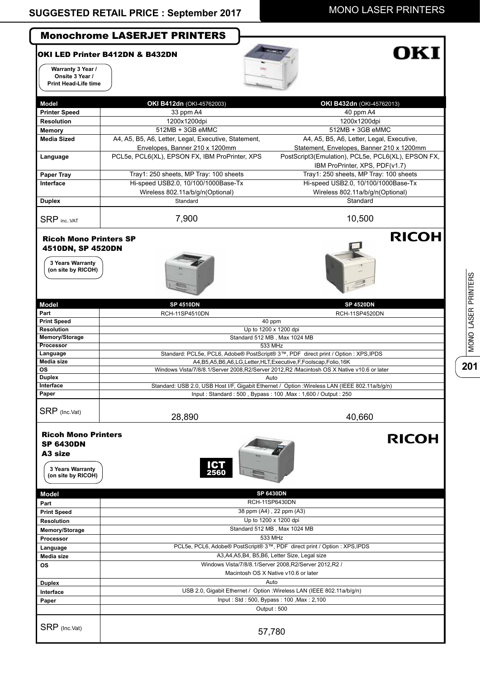### Monochrome LASERJET PRINTERS

#### OKI LED Printer B412DN & B432DN ヽ

**Warranty 3 Year / Onsite 3 Year /** 

**Language Media size OS**

**Duplex Interface Paper** 

SRP (Inc.Vat)



# OK!

| Onsite 3 Year /<br><b>Print Head-Life time</b>                         |                                                      |                                                                                                |
|------------------------------------------------------------------------|------------------------------------------------------|------------------------------------------------------------------------------------------------|
|                                                                        |                                                      |                                                                                                |
| Model                                                                  | OKI B412dn (OKI-45762003)                            | OKI B432dn (OKI-45762013)                                                                      |
| <b>Printer Speed</b>                                                   | 33 ppm A4                                            | 40 ppm A4                                                                                      |
| <b>Resolution</b>                                                      | 1200x1200dpi                                         | 1200x1200dpi                                                                                   |
|                                                                        | 512MB + 3GB eMMC                                     |                                                                                                |
| Memory<br><b>Media Sized</b>                                           |                                                      | 512MB + 3GB eMMC                                                                               |
|                                                                        | A4, A5, B5, A6, Letter, Legal, Executive, Statement, | A4, A5, B5, A6, Letter, Legal, Executive,                                                      |
|                                                                        | Envelopes, Banner 210 x 1200mm                       | Statement, Envelopes, Banner 210 x 1200mm                                                      |
| Language                                                               | PCL5e, PCL6(XL), EPSON FX, IBM ProPrinter, XPS       | PostScript3(Emulation), PCL5e, PCL6(XL), EPSON FX,                                             |
| <b>Paper Tray</b>                                                      | Tray1: 250 sheets, MP Tray: 100 sheets               | IBM ProPrinter, XPS, PDF(v1.7)<br>Tray1: 250 sheets, MP Tray: 100 sheets                       |
| Interface                                                              | Hi-speed USB2.0, 10/100/1000Base-Tx                  |                                                                                                |
|                                                                        |                                                      | Hi-speed USB2.0, 10/100/1000Base-Tx                                                            |
|                                                                        | Wireless 802.11a/b/g/n(Optional)                     | Wireless 802.11a/b/g/n(Optional)                                                               |
| <b>Duplex</b>                                                          | Standard                                             | Standard                                                                                       |
| <b>SRP</b> incVAT                                                      | 7,900                                                | 10,500                                                                                         |
| <b>Ricoh Mono Printers SP</b><br>4510DN, SP 4520DN<br>3 Years Warranty |                                                      | <b>RICOH</b>                                                                                   |
| (on site by RICOH)                                                     |                                                      |                                                                                                |
| <b>Model</b>                                                           | <b>SP 4510DN</b>                                     | <b>SP 4520DN</b>                                                                               |
| Part                                                                   | RCH-11SP4510DN                                       | <b>RCH-11SP4520DN</b>                                                                          |
| <b>Print Speed</b><br><b>Resolution</b>                                |                                                      | 40 ppm                                                                                         |
| Memory/Storage                                                         |                                                      | Up to 1200 x 1200 dpi<br>Standard 512 MB, Max 1024 MB                                          |
| Processor                                                              |                                                      | 533 MHz                                                                                        |
| Language                                                               |                                                      | Standard: PCL5e, PCL6, Adobe® PostScript® 3™, PDF direct print / Option : XPS, IPDS            |
| Media size                                                             |                                                      | A4, B5, A5, B6, A6, LG, Letter, HLT, Executive, F, Foolscap, Folio, 16K                        |
| OS                                                                     |                                                      | Windows Vista/7/8/8.1/Server 2008,R2/Server 2012,R2 /Macintosh OS X Native v10.6 or later      |
| <b>Duplex</b>                                                          |                                                      | Auto                                                                                           |
| Interface                                                              |                                                      | Standard: USB 2.0, USB Host I/F, Gigabit Ethernet / Option : Wireless LAN (IEEE 802.11a/b/g/n) |
| Paper                                                                  |                                                      | Input: Standard: 500, Bypass: 100, Max: 1,600 / Output: 250                                    |
| SRP (Inc.Vat)                                                          | 28,890                                               | 40,660                                                                                         |
| <b>Ricoh Mono Printers</b><br><b>SP 6430DN</b>                         |                                                      | <b>RICOH</b>                                                                                   |
| A <sub>3</sub> size<br>3 Years Warranty<br>(on site by RICOH)          | <b>ICT</b><br>2560                                   |                                                                                                |
| <b>Model</b>                                                           |                                                      | <b>SP 6430DN</b>                                                                               |
| Part                                                                   |                                                      | RCH-11SP6430DN                                                                                 |
| <b>Print Speed</b>                                                     |                                                      | 38 ppm (A4), 22 ppm (A3)                                                                       |
| <b>Resolution</b>                                                      |                                                      | Up to 1200 x 1200 dpi                                                                          |
| Memory/Storage                                                         |                                                      | Standard 512 MB, Max 1024 MB                                                                   |
| Processor                                                              |                                                      | 533 MHz                                                                                        |

PCL5e, PCL6, Adobe® PostScript® 3™, PDF direct print / Option : XPS,IPDS A3,A4,A5,B4, B5,B6, Letter Size, Legal size Windows Vista/7/8/8.1/Server 2008,R2/Server 2012,R2 / Macintosh OS X Native v10.6 or later Auto USB 2.0, Gigabit Ethernet / Option :Wireless LAN (IEEE 802.11a/b/g/n) Input : Std : 500, Bypass : 100 ,Max : 2,100 Output : 500

57,780

**201**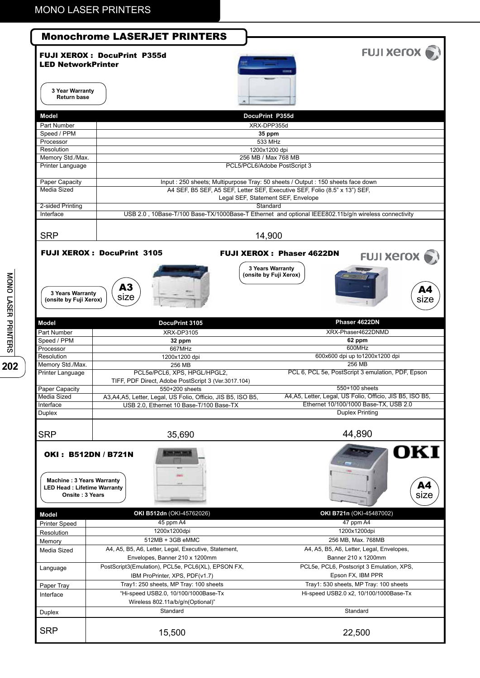|                                                                                  | <b>FUJI XETOX</b>                                                                                                                                                                                                                                                                                            |
|----------------------------------------------------------------------------------|--------------------------------------------------------------------------------------------------------------------------------------------------------------------------------------------------------------------------------------------------------------------------------------------------------------|
| <b>FUJI XEROX: DocuPrint P355d</b>                                               |                                                                                                                                                                                                                                                                                                              |
|                                                                                  |                                                                                                                                                                                                                                                                                                              |
|                                                                                  |                                                                                                                                                                                                                                                                                                              |
| 3 Year Warranty                                                                  |                                                                                                                                                                                                                                                                                                              |
|                                                                                  |                                                                                                                                                                                                                                                                                                              |
| DocuPrint P355d                                                                  |                                                                                                                                                                                                                                                                                                              |
| XRX-DPP355d                                                                      |                                                                                                                                                                                                                                                                                                              |
| 35 ppm                                                                           |                                                                                                                                                                                                                                                                                                              |
| 533 MHz                                                                          |                                                                                                                                                                                                                                                                                                              |
|                                                                                  |                                                                                                                                                                                                                                                                                                              |
|                                                                                  |                                                                                                                                                                                                                                                                                                              |
|                                                                                  |                                                                                                                                                                                                                                                                                                              |
| Input : 250 sheets; Multipurpose Tray: 50 sheets / Output : 150 sheets face down |                                                                                                                                                                                                                                                                                                              |
| A4 SEF, B5 SEF, A5 SEF, Letter SEF, Executive SEF, Folio (8.5" x 13") SEF,       |                                                                                                                                                                                                                                                                                                              |
| Legal SEF, Statement SEF, Envelope                                               |                                                                                                                                                                                                                                                                                                              |
|                                                                                  |                                                                                                                                                                                                                                                                                                              |
|                                                                                  |                                                                                                                                                                                                                                                                                                              |
|                                                                                  |                                                                                                                                                                                                                                                                                                              |
|                                                                                  |                                                                                                                                                                                                                                                                                                              |
| <b>FUJI XEROX: DocuPrint 3105</b>                                                | <b>FUJI XEROX: Phaser 4622DN</b><br><b>FUJI XETOX</b>                                                                                                                                                                                                                                                        |
|                                                                                  | 3 Years Warranty                                                                                                                                                                                                                                                                                             |
|                                                                                  | (onsite by Fuji Xerox)                                                                                                                                                                                                                                                                                       |
|                                                                                  |                                                                                                                                                                                                                                                                                                              |
| 3 Years Warranty                                                                 | A4                                                                                                                                                                                                                                                                                                           |
|                                                                                  | size                                                                                                                                                                                                                                                                                                         |
|                                                                                  |                                                                                                                                                                                                                                                                                                              |
| DocuPrint 3105                                                                   | Phaser 4622DN                                                                                                                                                                                                                                                                                                |
| XRX-DP3105                                                                       | XRX-Phaser4622DNMD                                                                                                                                                                                                                                                                                           |
|                                                                                  | 62 ppm<br>600MHz                                                                                                                                                                                                                                                                                             |
|                                                                                  | 600x600 dpi up to1200x1200 dpi                                                                                                                                                                                                                                                                               |
| 256 MB                                                                           | 256 MB                                                                                                                                                                                                                                                                                                       |
| PCL5e/PCL6, XPS, HPGL/HPGL2,                                                     | PCL 6, PCL 5e, PostScript 3 emulation, PDF, Epson                                                                                                                                                                                                                                                            |
|                                                                                  |                                                                                                                                                                                                                                                                                                              |
| TIFF, PDF Direct, Adobe PostScript 3 (Ver.3017.104)                              |                                                                                                                                                                                                                                                                                                              |
| 550+200 sheets                                                                   | 550+100 sheets                                                                                                                                                                                                                                                                                               |
| A3, A4, A5, Letter, Legal, US Folio, Officio, JIS B5, ISO B5,                    | A4, A5, Letter, Legal, US Folio, Officio, JIS B5, ISO B5,                                                                                                                                                                                                                                                    |
| USB 2.0, Ethernet 10 Base-T/100 Base-TX                                          | Ethernet 10/100/1000 Base-TX, USB 2.0<br>Duplex Printing                                                                                                                                                                                                                                                     |
|                                                                                  |                                                                                                                                                                                                                                                                                                              |
|                                                                                  | 44,890                                                                                                                                                                                                                                                                                                       |
| 35,690                                                                           |                                                                                                                                                                                                                                                                                                              |
| OKI: B512DN / B721N                                                              | OKI                                                                                                                                                                                                                                                                                                          |
|                                                                                  |                                                                                                                                                                                                                                                                                                              |
|                                                                                  |                                                                                                                                                                                                                                                                                                              |
| <b>Machine: 3 Years Warranty</b>                                                 |                                                                                                                                                                                                                                                                                                              |
| <b>LED Head: Lifetime Warranty</b>                                               | A4                                                                                                                                                                                                                                                                                                           |
| Onsite: 3 Years                                                                  | size                                                                                                                                                                                                                                                                                                         |
|                                                                                  |                                                                                                                                                                                                                                                                                                              |
| OKI B512dn (OKI-45762026)<br>45 ppm A4                                           | OKI B721n (OKI-45487002)<br>47 ppm A4                                                                                                                                                                                                                                                                        |
| 1200x1200dpi                                                                     | 1200x1200dpi                                                                                                                                                                                                                                                                                                 |
| 512MB + 3GB eMMC                                                                 | 256 MB, Max. 768MB                                                                                                                                                                                                                                                                                           |
| A4, A5, B5, A6, Letter, Legal, Executive, Statement,                             | A4, A5, B5, A6, Letter, Legal, Envelopes,                                                                                                                                                                                                                                                                    |
| Envelopes, Banner 210 x 1200mm                                                   | Banner 210 x 1200mm                                                                                                                                                                                                                                                                                          |
| PostScript3(Emulation), PCL5e, PCL6(XL), EPSON FX,                               | PCL5e, PCL6, Postscript 3 Emulation, XPS,                                                                                                                                                                                                                                                                    |
| IBM ProPrinter, XPS, PDF(v1.7)                                                   | Epson FX, IBM PPR                                                                                                                                                                                                                                                                                            |
| Tray1: 250 sheets, MP Tray: 100 sheets                                           | Tray1: 530 sheets, MP Tray: 100 sheets                                                                                                                                                                                                                                                                       |
| "Hi-speed USB2.0, 10/100/1000Base-Tx                                             | Hi-speed USB2.0 x2, 10/100/1000Base-Tx                                                                                                                                                                                                                                                                       |
| Wireless 802.11a/b/g/n(Optional)"                                                |                                                                                                                                                                                                                                                                                                              |
| Standard                                                                         | Standard                                                                                                                                                                                                                                                                                                     |
| 15,500                                                                           | 22,500                                                                                                                                                                                                                                                                                                       |
|                                                                                  | <b>LED NetworkPrinter</b><br>1200x1200 dpi<br>256 MB / Max 768 MB<br>PCL5/PCL6/Adobe PostScript 3<br>Standard<br>USB 2.0, 10Base-T/100 Base-TX/1000Base-T Ethernet and optional IEEE802.11b/g/n wireless connectivity<br>14,900<br>A3<br>size<br>(onsite by Fuji Xerox)<br>32 ppm<br>667MHz<br>1200x1200 dpi |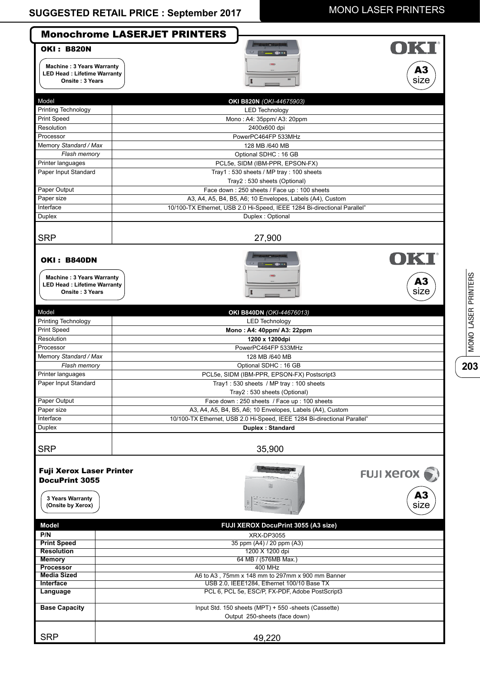**203**

MONO LASER PRINTERS

|                                                                                                                 | <b>Monochrome LASERJET PRINTERS</b>                                                   |
|-----------------------------------------------------------------------------------------------------------------|---------------------------------------------------------------------------------------|
| <b>OKI: B820N</b><br><b>Machine: 3 Years Warranty</b><br><b>LED Head: Lifetime Warranty</b><br>Onsite: 3 Years  | A3<br>size                                                                            |
| Model                                                                                                           | OKI B820N (OKI-44675903)                                                              |
| Printing Technology                                                                                             | <b>LED Technology</b>                                                                 |
| Print Speed                                                                                                     | Mono: A4: 35ppm/ A3: 20ppm                                                            |
| Resolution                                                                                                      | 2400x600 dpi                                                                          |
| Processor                                                                                                       | PowerPC464FP 533MHz                                                                   |
| Memory Standard / Max                                                                                           | 128 MB /640 MB                                                                        |
| Flash memory                                                                                                    | Optional SDHC: 16 GB                                                                  |
| Printer languages                                                                                               | PCL5e, SIDM (IBM-PPR, EPSON-FX)                                                       |
| Paper Input Standard                                                                                            | Tray1: 530 sheets / MP tray: 100 sheets                                               |
|                                                                                                                 | Tray2: 530 sheets (Optional)                                                          |
| Paper Output                                                                                                    | Face down: 250 sheets / Face up: 100 sheets                                           |
| Paper size                                                                                                      | A3, A4, A5, B4, B5, A6; 10 Envelopes, Labels (A4), Custom                             |
| Interface                                                                                                       | 10/100-TX Ethernet, USB 2.0 Hi-Speed, IEEE 1284 Bi-directional Parallel"              |
| Duplex                                                                                                          | Duplex: Optional                                                                      |
| <b>SRP</b>                                                                                                      | 27,900                                                                                |
| <b>OKI: B840DN</b><br><b>Machine: 3 Years Warranty</b><br><b>LED Head: Lifetime Warranty</b><br>Onsite: 3 Years | OKI<br>A3<br>size                                                                     |
| Model                                                                                                           | OKI B840DN (OKI-44676013)                                                             |
| Printing Technology                                                                                             | <b>LED Technology</b>                                                                 |
| Print Speed                                                                                                     | Mono: A4: 40ppm/ A3: 22ppm                                                            |
| Resolution                                                                                                      | 1200 x 1200dpi                                                                        |
| Processor                                                                                                       | PowerPC464FP 533MHz                                                                   |
| Memory Standard / Max                                                                                           | 128 MB /640 MB                                                                        |
| Flash memory                                                                                                    | Optional SDHC: 16 GB                                                                  |
| Printer languages                                                                                               | PCL5e, SIDM (IBM-PPR, EPSON-FX) Postscript3                                           |
| Paper Input Standard                                                                                            | Tray1: 530 sheets / MP tray: 100 sheets                                               |
|                                                                                                                 | Tray2: 530 sheets (Optional)                                                          |
| Paper Output                                                                                                    | Face down: 250 sheets / Face up: 100 sheets                                           |
| Paper size                                                                                                      | A3, A4, A5, B4, B5, A6; 10 Envelopes, Labels (A4), Custom                             |
| Interface                                                                                                       | 10/100-TX Ethernet, USB 2.0 Hi-Speed, IEEE 1284 Bi-directional Parallel"              |
| Duplex                                                                                                          | Duplex: Standard                                                                      |
| <b>SRP</b>                                                                                                      | 35,900                                                                                |
| <b>Fuji Xerox Laser Printer</b><br><b>DocuPrint 3055</b><br>3 Years Warranty<br>(Onsite by Xerox)               | <b>FUJI XErOX</b><br>L.<br>A3<br>size                                                 |
| Model                                                                                                           | FUJI XEROX DocuPrint 3055 (A3 size)                                                   |
| P/N                                                                                                             | XRX-DP3055                                                                            |
| <b>Print Speed</b><br><b>Resolution</b>                                                                         | 35 ppm (A4) / 20 ppm (A3)<br>1200 X 1200 dpi                                          |
| <b>Memory</b>                                                                                                   | 64 MB / (576MB Max.)                                                                  |
| <b>Processor</b>                                                                                                | <b>400 MHz</b>                                                                        |
| <b>Media Sized</b>                                                                                              | A6 to A3, 75mm x 148 mm to 297mm x 900 mm Banner                                      |
| Interface                                                                                                       | USB 2.0, IEEE1284, Ethernet 100/10 Base TX                                            |
| Language                                                                                                        | PCL 6, PCL 5e, ESC/P, FX-PDF, Adobe PostScript3                                       |
| <b>Base Capacity</b>                                                                                            | Input Std. 150 sheets (MPT) + 550 -sheets (Cassette)<br>Output 250-sheets (face down) |
| <b>SRP</b>                                                                                                      | 49,220                                                                                |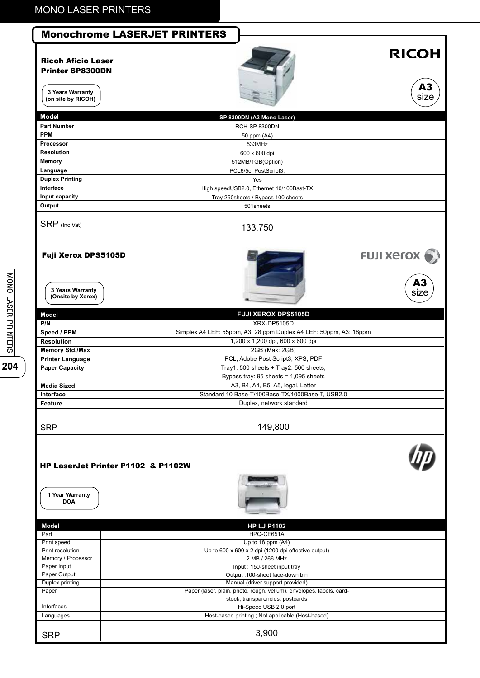#### Monochrome LASERJET PRINTERS

#### Ricoh Aficio Laser Printer SP8300DN

## **RICOH**



 $A3$ <br>size

**3 Years Warranty (on site by RICOH)**

| SP 8300DN (A3 Mono Laser)                |                   |
|------------------------------------------|-------------------|
| RCH-SP 8300DN                            |                   |
| 50 ppm (A4)                              |                   |
| 533MHz                                   |                   |
| 600 x 600 dpi                            |                   |
| 512MB/1GB(Option)                        |                   |
| PCL6/5c, PostScript3,                    |                   |
| Yes                                      |                   |
| High speedUSB2.0, Ethernet 10/100Bast-TX |                   |
| Tray 250 sheets / Bypass 100 sheets      |                   |
| 501sheets                                |                   |
| 133,750                                  |                   |
|                                          | <b>FUJI XErOX</b> |
|                                          |                   |

**(Onsite by Xerox)**

204

| 3 Years Warranty<br>(Onsite by Xerox) |                                                                   |  |
|---------------------------------------|-------------------------------------------------------------------|--|
| <b>Model</b>                          | <b>FUJI XEROX DPS5105D</b>                                        |  |
| P/N                                   | XRX-DP5105D                                                       |  |
| Speed / PPM                           | Simplex A4 LEF: 55ppm, A3: 28 ppm Duplex A4 LEF: 50ppm, A3: 18ppm |  |
| <b>Resolution</b>                     | 1,200 x 1,200 dpi, 600 x 600 dpi                                  |  |
| <b>Memory Std./Max</b>                | 2GB (Max: 2GB)                                                    |  |
| <b>Printer Language</b>               | PCL, Adobe Post Script3, XPS, PDF                                 |  |
| <b>Paper Capacity</b>                 | Tray1: 500 sheets $+$ Tray2: 500 sheets,                          |  |
|                                       | Bypass tray: $95$ sheets = 1,095 sheets                           |  |
| Media Sized                           | A3, B4, A4, B5, A5, legal, Letter                                 |  |
| Interface                             | Standard 10 Base-T/100Base-TX/1000Base-T, USB2.0                  |  |
| Feature                               | Duplex, network standard                                          |  |
| <b>SRP</b>                            | 149,800                                                           |  |
| HP LaserJet Printer P1102 & P1102W    |                                                                   |  |

#### HP LaserJet Printer P1102 & P1102W



**1 Year Warranty DOA**

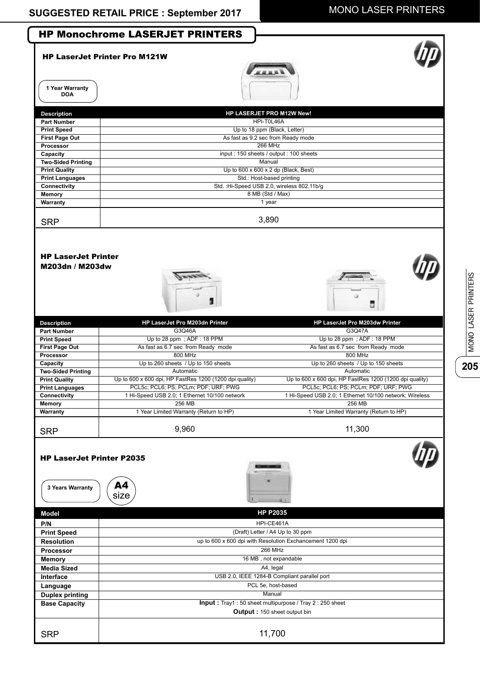**205**

MONO LASER PRINTERS

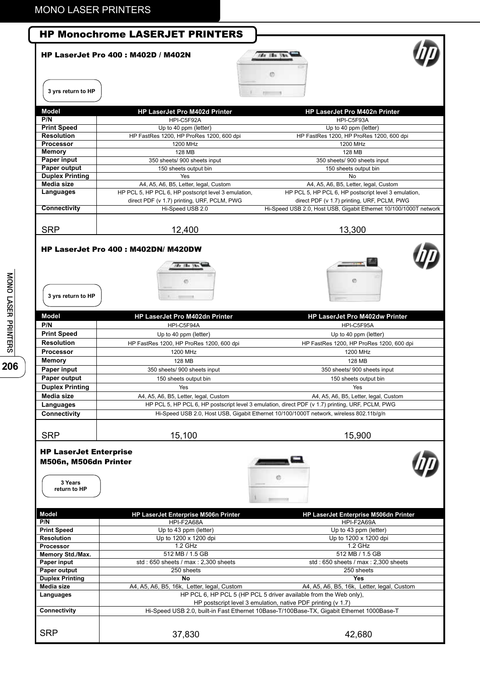|                                                        | <b>HP Monochrome LASERJET PRINTERS</b>                          |                                                                                                                  |
|--------------------------------------------------------|-----------------------------------------------------------------|------------------------------------------------------------------------------------------------------------------|
|                                                        | <b>HP LaserJet Pro 400: M402D / M402N</b>                       | fan illu Ut<br>Ø                                                                                                 |
| 3 yrs return to HP                                     |                                                                 | 2200                                                                                                             |
| Model                                                  | <b>HP LaserJet Pro M402d Printer</b>                            | HP LaserJet Pro M402n Printer                                                                                    |
| P/N                                                    | HPI-C5F92A                                                      | HPI-C5F93A                                                                                                       |
| <b>Print Speed</b>                                     | Up to 40 ppm (letter)                                           | Up to 40 ppm (letter)                                                                                            |
| <b>Resolution</b>                                      | HP FastRes 1200, HP ProRes 1200, 600 dpi                        | HP FastRes 1200, HP ProRes 1200, 600 dpi                                                                         |
| <b>Processor</b><br>Memory                             | 1200 MHz<br>128 MB                                              | 1200 MHz<br>128 MB                                                                                               |
| <b>Paper input</b>                                     | 350 sheets/ 900 sheets input                                    | 350 sheets/ 900 sheets input                                                                                     |
| Paper output                                           | 150 sheets output bin                                           | 150 sheets output bin                                                                                            |
| <b>Duplex Printing</b>                                 | Yes                                                             | No                                                                                                               |
| Media size                                             | A4, A5, A6, B5, Letter, legal, Custom                           | A4, A5, A6, B5, Letter, legal, Custom                                                                            |
| Languages                                              | HP PCL 5, HP PCL 6, HP postscript level 3 emulation,            | HP PCL 5, HP PCL 6, HP postscript level 3 emulation,                                                             |
| <b>Connectivity</b>                                    | direct PDF (v 1.7) printing, URF, PCLM, PWG<br>Hi-Speed USB 2.0 | direct PDF (v 1.7) printing, URF, PCLM, PWG<br>Hi-Speed USB 2.0, Host USB, Gigabit Ethernet 10/100/1000T network |
|                                                        |                                                                 |                                                                                                                  |
| <b>SRP</b>                                             | 12,400                                                          | 13,300                                                                                                           |
| 3 yrs return to HP                                     | <b>HP LaserJet Pro 400: M402DN/ M420DW</b>                      | ø                                                                                                                |
| <b>Model</b>                                           | HP LaserJet Pro M402dn Printer                                  | <b>HP LaserJet Pro M402dw Printer</b>                                                                            |
| P/N                                                    | HPI-C5F94A                                                      | HPI-C5F95A                                                                                                       |
| <b>Print Speed</b>                                     | Up to 40 ppm (letter)                                           | Up to 40 ppm (letter)                                                                                            |
| <b>Resolution</b>                                      | HP FastRes 1200, HP ProRes 1200, 600 dpi                        | HP FastRes 1200, HP ProRes 1200, 600 dpi                                                                         |
| <b>Processor</b>                                       | 1200 MHz                                                        | 1200 MHz                                                                                                         |
| <b>Memory</b><br>Paper input                           | 128 MB                                                          | 128 MB                                                                                                           |
| Paper output                                           | 350 sheets/ 900 sheets input<br>150 sheets output bin           | 350 sheets/ 900 sheets input<br>150 sheets output bin                                                            |
| <b>Duplex Printing</b>                                 | Yes                                                             | Yes                                                                                                              |
| Media size                                             | A4, A5, A6, B5, Letter, legal, Custom                           | A4, A5, A6, B5, Letter, legal, Custom                                                                            |
| Languages                                              |                                                                 | HP PCL 5, HP PCL 6, HP postscript level 3 emulation, direct PDF (v 1.7) printing, URF, PCLM, PWG                 |
| Connectivity                                           |                                                                 | Hi-Speed USB 2.0, Host USB, Gigabit Ethernet 10/100/1000T network, wireless 802.11b/g/n                          |
|                                                        |                                                                 |                                                                                                                  |
| <b>SRP</b>                                             | 15,100                                                          | 15,900                                                                                                           |
| <b>HP LaserJet Enterprise</b><br>M506n, M506dn Printer |                                                                 |                                                                                                                  |
| 3 Years<br>return to HP                                |                                                                 |                                                                                                                  |
|                                                        |                                                                 |                                                                                                                  |
| <b>Model</b>                                           | HP LaserJet Enterprise M506n Printer                            | HP LaserJet Enterprise M506dn Printer                                                                            |
| P/N                                                    | HPI-F2A68A                                                      | HPI-F2A69A                                                                                                       |
| <b>Print Speed</b><br><b>Resolution</b>                | Up to 43 ppm (letter)<br>Up to 1200 x 1200 dpi                  | Up to 43 ppm (letter)<br>Up to 1200 x 1200 dpi                                                                   |
| Processor                                              | 1.2 GHz                                                         | 1.2 GHz                                                                                                          |
| Memory Std./Max.                                       | 512 MB / 1.5 GB                                                 | 512 MB / 1.5 GB                                                                                                  |
| Paper input                                            | std: 650 sheets / max: 2,300 sheets                             | std: 650 sheets / max: 2,300 sheets                                                                              |
| Paper output                                           | 250 sheets                                                      | 250 sheets                                                                                                       |
| <b>Duplex Printing</b><br>Media size                   | No<br>A4, A5, A6, B5, 16k, Letter, legal, Custom                | <b>Yes</b><br>A4, A5, A6, B5, 16k, Letter, legal, Custom                                                         |
| Languages                                              |                                                                 | HP PCL 6, HP PCL 5 (HP PCL 5 driver available from the Web only),                                                |
|                                                        |                                                                 | HP postscript level 3 emulation, native PDF printing (v 1.7)                                                     |
| Connectivity                                           |                                                                 | Hi-Speed USB 2.0, built-in Fast Ethernet 10Base-T/100Base-TX, Gigabit Ethernet 1000Base-T                        |
| <b>SRP</b>                                             | 37,830                                                          | 42,680                                                                                                           |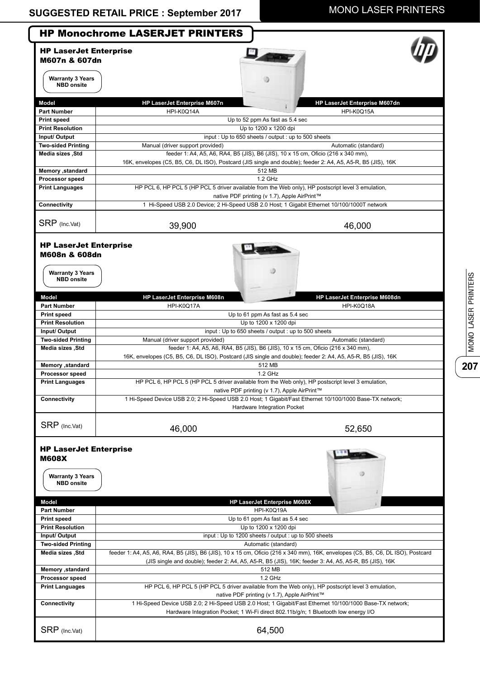|                                                                                                                                                                                          | <b>HP Monochrome LASERJET PRINTERS</b>                                                                                                                                                                                                   |                               |
|------------------------------------------------------------------------------------------------------------------------------------------------------------------------------------------|------------------------------------------------------------------------------------------------------------------------------------------------------------------------------------------------------------------------------------------|-------------------------------|
| <b>HP LaserJet Enterprise</b>                                                                                                                                                            |                                                                                                                                                                                                                                          |                               |
| M607n & 607dn                                                                                                                                                                            |                                                                                                                                                                                                                                          |                               |
| <b>Warranty 3 Years</b>                                                                                                                                                                  |                                                                                                                                                                                                                                          |                               |
| <b>NBD</b> onsite                                                                                                                                                                        |                                                                                                                                                                                                                                          |                               |
| Model                                                                                                                                                                                    | HP LaserJet Enterprise M607n                                                                                                                                                                                                             | HP LaserJet Enterprise M607dn |
| <b>Part Number</b>                                                                                                                                                                       | HPI-K0Q14A                                                                                                                                                                                                                               | HPI-K0Q15A                    |
| <b>Print speed</b>                                                                                                                                                                       | Up to 52 ppm As fast as 5.4 sec                                                                                                                                                                                                          |                               |
| <b>Print Resolution</b>                                                                                                                                                                  | Up to 1200 x 1200 dpi                                                                                                                                                                                                                    |                               |
| Input/ Output                                                                                                                                                                            | input: Up to 650 sheets / output: up to 500 sheets                                                                                                                                                                                       |                               |
| <b>Two-sided Printing</b>                                                                                                                                                                | Manual (driver support provided)                                                                                                                                                                                                         | Automatic (standard)          |
| Media sizes ,Std                                                                                                                                                                         | feeder 1: A4, A5, A6, RA4, B5 (JIS), B6 (JIS), 10 x 15 cm, Oficio (216 x 340 mm),                                                                                                                                                        |                               |
|                                                                                                                                                                                          | 16K, envelopes (C5, B5, C6, DL ISO), Postcard (JIS single and double); feeder 2: A4, A5, A5-R, B5 (JIS), 16K                                                                                                                             |                               |
| Memory , standard                                                                                                                                                                        | 512 MB                                                                                                                                                                                                                                   |                               |
| <b>Processor speed</b>                                                                                                                                                                   | 1.2 GHz                                                                                                                                                                                                                                  |                               |
| <b>Print Languages</b>                                                                                                                                                                   | HP PCL 6, HP PCL 5 (HP PCL 5 driver available from the Web only), HP postscript level 3 emulation,<br>native PDF printing (v 1.7), Apple AirPrint™                                                                                       |                               |
| Connectivity                                                                                                                                                                             | 1 Hi-Speed USB 2.0 Device; 2 Hi-Speed USB 2.0 Host; 1 Gigabit Ethernet 10/100/1000T network                                                                                                                                              |                               |
| SRP (Inc.Vat)                                                                                                                                                                            |                                                                                                                                                                                                                                          |                               |
|                                                                                                                                                                                          | 39,900                                                                                                                                                                                                                                   | 46,000                        |
| <b>HP LaserJet Enterprise</b><br>M608n & 608dn<br><b>Warranty 3 Years</b><br><b>NBD</b> onsite                                                                                           |                                                                                                                                                                                                                                          |                               |
| <b>Model</b>                                                                                                                                                                             | HP LaserJet Enterprise M608n                                                                                                                                                                                                             | HP LaserJet Enterprise M608dn |
| <b>Part Number</b>                                                                                                                                                                       | HPI-K0Q17A                                                                                                                                                                                                                               | HPI-K0Q18A                    |
| <b>Print speed</b>                                                                                                                                                                       | Up to 61 ppm As fast as 5.4 sec                                                                                                                                                                                                          |                               |
| <b>Print Resolution</b>                                                                                                                                                                  | Up to 1200 x 1200 dpi                                                                                                                                                                                                                    |                               |
| Input/ Output                                                                                                                                                                            | input: Up to 650 sheets / output: up to 500 sheets                                                                                                                                                                                       |                               |
| <b>Two-sided Printing</b>                                                                                                                                                                | Manual (driver support provided)                                                                                                                                                                                                         | Automatic (standard)          |
| Media sizes, Std                                                                                                                                                                         | feeder 1: A4, A5, A6, RA4, B5 (JIS), B6 (JIS), 10 x 15 cm, Oficio (216 x 340 mm),                                                                                                                                                        |                               |
|                                                                                                                                                                                          | 16K, envelopes (C5, B5, C6, DL ISO), Postcard (JIS single and double); feeder 2: A4, A5, A5-R, B5 (JIS), 16K                                                                                                                             |                               |
| Memory , standard                                                                                                                                                                        | 512 MB                                                                                                                                                                                                                                   |                               |
| <b>Processor speed</b>                                                                                                                                                                   | 1.2 GHz                                                                                                                                                                                                                                  |                               |
| <b>Print Languages</b>                                                                                                                                                                   | HP PCL 6, HP PCL 5 (HP PCL 5 driver available from the Web only), HP postscript level 3 emulation,                                                                                                                                       |                               |
|                                                                                                                                                                                          | native PDF printing (v 1.7), Apple AirPrint™<br>1 Hi-Speed Device USB 2.0; 2 Hi-Speed USB 2.0 Host; 1 Gigabit/Fast Ethernet 10/100/1000 Base-TX network;                                                                                 |                               |
| Connectivity                                                                                                                                                                             | Hardware Integration Pocket                                                                                                                                                                                                              |                               |
|                                                                                                                                                                                          |                                                                                                                                                                                                                                          |                               |
| SRP (Inc.Vat)                                                                                                                                                                            | 46,000                                                                                                                                                                                                                                   | 52,650                        |
| <b>HP LaserJet Enterprise</b><br><b>M608X</b><br><b>Warranty 3 Years</b><br><b>NBD</b> onsite                                                                                            |                                                                                                                                                                                                                                          |                               |
| Model                                                                                                                                                                                    | <b>HP LaserJet Enterprise M608X</b>                                                                                                                                                                                                      |                               |
| <b>Part Number</b>                                                                                                                                                                       | HPI-K0Q19A                                                                                                                                                                                                                               |                               |
|                                                                                                                                                                                          | Up to 61 ppm As fast as 5.4 sec                                                                                                                                                                                                          |                               |
|                                                                                                                                                                                          | Up to 1200 x 1200 dpi                                                                                                                                                                                                                    |                               |
|                                                                                                                                                                                          | input: Up to 1200 sheets / output: up to 500 sheets                                                                                                                                                                                      |                               |
|                                                                                                                                                                                          |                                                                                                                                                                                                                                          |                               |
|                                                                                                                                                                                          | Automatic (standard)                                                                                                                                                                                                                     |                               |
|                                                                                                                                                                                          | feeder 1: A4, A5, A6, RA4, B5 (JIS), B6 (JIS), 10 x 15 cm, Oficio (216 x 340 mm), 16K, envelopes (C5, B5, C6, DL ISO), Postcard<br>(JIS single and double); feeder 2: A4, A5, A5-R, B5 (JIS), 16K; feeder 3: A4, A5, A5-R, B5 (JIS), 16K |                               |
|                                                                                                                                                                                          | 512 MB                                                                                                                                                                                                                                   |                               |
|                                                                                                                                                                                          | 1.2 GHz                                                                                                                                                                                                                                  |                               |
| <b>Print speed</b><br><b>Print Resolution</b><br>Input/ Output<br><b>Two-sided Printing</b><br>Media sizes, Std<br>Memory , standard<br><b>Processor speed</b><br><b>Print Languages</b> | HP PCL 6, HP PCL 5 (HP PCL 5 driver available from the Web only), HP postscript level 3 emulation,                                                                                                                                       |                               |
|                                                                                                                                                                                          | native PDF printing (v 1.7), Apple AirPrint™                                                                                                                                                                                             |                               |
|                                                                                                                                                                                          | 1 Hi-Speed Device USB 2.0; 2 Hi-Speed USB 2.0 Host; 1 Gigabit/Fast Ethernet 10/100/1000 Base-TX network;                                                                                                                                 |                               |
| Connectivity                                                                                                                                                                             | Hardware Integration Pocket; 1 Wi-Fi direct 802.11b/g/n; 1 Bluetooth low energy I/O                                                                                                                                                      |                               |

MONO LASER PRINTERS MONO LASER PRINTERS **207**